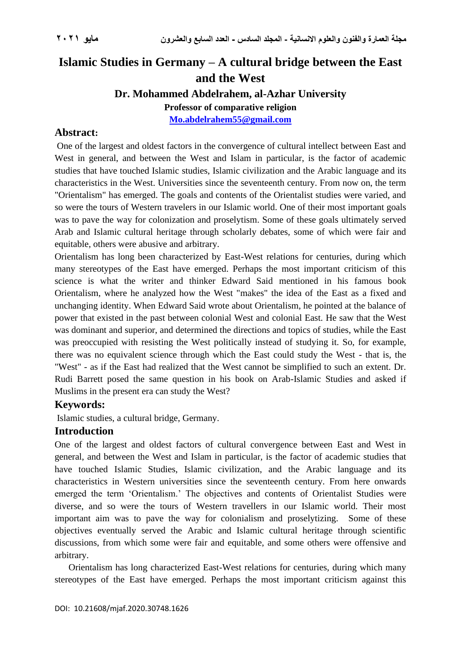# **Islamic Studies in Germany – A cultural bridge between the East and the West**

## **Dr. Mohammed Abdelrahem, al-Azhar University**

**Professor of comparative religion**

**[Mo.abdelrahem55@gmail.com](mailto:Mo.abdelrahem55@gmail.com)**

## **Abstract:**

One of the largest and oldest factors in the convergence of cultural intellect between East and West in general, and between the West and Islam in particular, is the factor of academic studies that have touched Islamic studies, Islamic civilization and the Arabic language and its characteristics in the West. Universities since the seventeenth century. From now on, the term "Orientalism" has emerged. The goals and contents of the Orientalist studies were varied, and so were the tours of Western travelers in our Islamic world. One of their most important goals was to pave the way for colonization and proselytism. Some of these goals ultimately served Arab and Islamic cultural heritage through scholarly debates, some of which were fair and equitable, others were abusive and arbitrary.

Orientalism has long been characterized by East-West relations for centuries, during which many stereotypes of the East have emerged. Perhaps the most important criticism of this science is what the writer and thinker Edward Said mentioned in his famous book Orientalism, where he analyzed how the West "makes" the idea of the East as a fixed and unchanging identity. When Edward Said wrote about Orientalism, he pointed at the balance of power that existed in the past between colonial West and colonial East. He saw that the West was dominant and superior, and determined the directions and topics of studies, while the East was preoccupied with resisting the West politically instead of studying it. So, for example, there was no equivalent science through which the East could study the West - that is, the "West" - as if the East had realized that the West cannot be simplified to such an extent. Dr. Rudi Barrett posed the same question in his book on Arab-Islamic Studies and asked if Muslims in the present era can study the West?

## **Keywords:**

Islamic studies, a cultural bridge, Germany.

## **Introduction**

One of the largest and oldest factors of cultural convergence between East and West in general, and between the West and Islam in particular, is the factor of academic studies that have touched Islamic Studies, Islamic civilization, and the Arabic language and its characteristics in Western universities since the seventeenth century. From here onwards emerged the term 'Orientalism.' The objectives and contents of Orientalist Studies were diverse, and so were the tours of Western travellers in our Islamic world. Their most important aim was to pave the way for colonialism and proselytizing. Some of these objectives eventually served the Arabic and Islamic cultural heritage through scientific discussions, from which some were fair and equitable, and some others were offensive and arbitrary.

Orientalism has long characterized East-West relations for centuries, during which many stereotypes of the East have emerged. Perhaps the most important criticism against this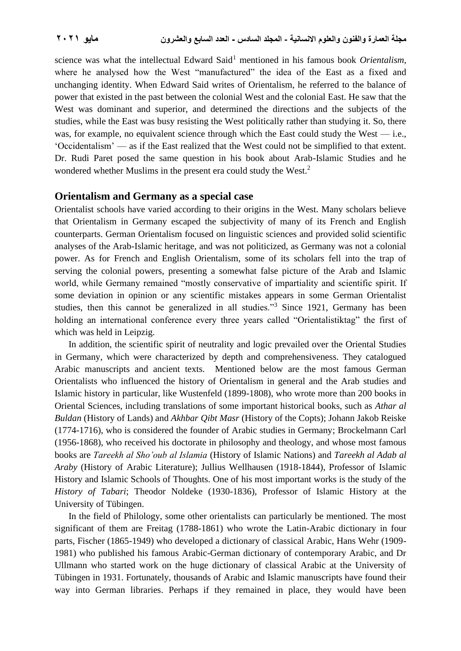science was what the intellectual Edward Said<sup>1</sup> mentioned in his famous book *Orientalism*, where he analysed how the West "manufactured" the idea of the East as a fixed and unchanging identity. When Edward Said writes of Orientalism, he referred to the balance of power that existed in the past between the colonial West and the colonial East. He saw that the West was dominant and superior, and determined the directions and the subjects of the studies, while the East was busy resisting the West politically rather than studying it. So, there was, for example, no equivalent science through which the East could study the West — i.e., 'Occidentalism' — as if the East realized that the West could not be simplified to that extent. Dr. Rudi Paret posed the same question in his book about Arab-Islamic Studies and he wondered whether Muslims in the present era could study the West.<sup>2</sup>

#### **Orientalism and Germany as a special case**

Orientalist schools have varied according to their origins in the West. Many scholars believe that Orientalism in Germany escaped the subjectivity of many of its French and English counterparts. German Orientalism focused on linguistic sciences and provided solid scientific analyses of the Arab-Islamic heritage, and was not politicized, as Germany was not a colonial power. As for French and English Orientalism, some of its scholars fell into the trap of serving the colonial powers, presenting a somewhat false picture of the Arab and Islamic world, while Germany remained "mostly conservative of impartiality and scientific spirit. If some deviation in opinion or any scientific mistakes appears in some German Orientalist studies, then this cannot be generalized in all studies."<sup>3</sup> Since 1921, Germany has been holding an international conference every three years called "Orientalistiktag" the first of which was held in Leipzig.

In addition, the scientific spirit of neutrality and logic prevailed over the Oriental Studies in Germany, which were characterized by depth and comprehensiveness. They catalogued Arabic manuscripts and ancient texts. Mentioned below are the most famous German Orientalists who influenced the history of Orientalism in general and the Arab studies and Islamic history in particular, like Wustenfeld (1899-1808), who wrote more than 200 books in Oriental Sciences, including translations of some important historical books, such as *Athar al Buldan* (History of Lands) and *Akhbar Qibt Masr* (History of the Copts); Johann Jakob Reiske (1774-1716), who is considered the founder of Arabic studies in Germany; Brockelmann Carl (1956-1868), who received his doctorate in philosophy and theology, and whose most famous books are *Tareekh al Sho'oub al Islamia* (History of Islamic Nations) and *Tareekh al Adab al Araby* (History of Arabic Literature); Jullius Wellhausen (1918-1844), Professor of Islamic History and Islamic Schools of Thoughts. One of his most important works is the study of the *History of Tabari*; Theodor Noldeke (1930-1836), Professor of Islamic History at the University of Tübingen.

In the field of Philology, some other orientalists can particularly be mentioned. The most significant of them are Freitag (1788-1861) who wrote the Latin-Arabic dictionary in four parts, Fischer (1865-1949) who developed a dictionary of classical Arabic, Hans Wehr (1909- 1981) who published his famous Arabic-German dictionary of contemporary Arabic, and Dr Ullmann who started work on the huge dictionary of classical Arabic at the University of Tübingen in 1931. Fortunately, thousands of Arabic and Islamic manuscripts have found their way into German libraries. Perhaps if they remained in place, they would have been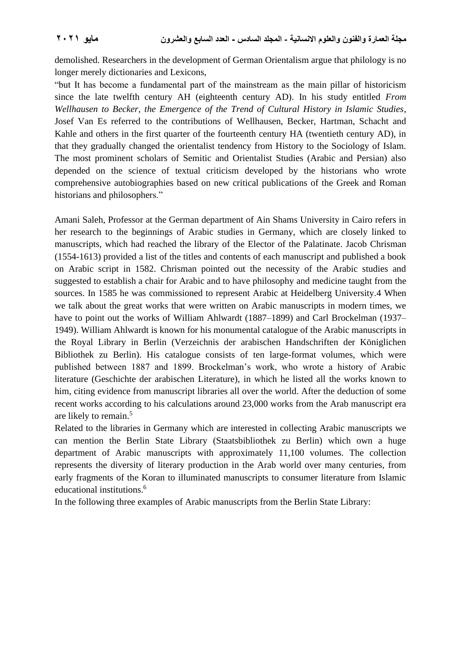demolished. Researchers in the development of German Orientalism argue that philology is no longer merely dictionaries and Lexicons,

"but It has become a fundamental part of the mainstream as the main pillar of historicism since the late twelfth century AH (eighteenth century AD). In his study entitled *From Wellhausen to Becker, the Emergence of the Trend of Cultural History in Islamic Studies*, Josef Van Es referred to the contributions of Wellhausen, Becker, Hartman, Schacht and Kahle and others in the first quarter of the fourteenth century HA (twentieth century AD), in that they gradually changed the orientalist tendency from History to the Sociology of Islam. The most prominent scholars of Semitic and Orientalist Studies (Arabic and Persian) also depended on the science of textual criticism developed by the historians who wrote comprehensive autobiographies based on new critical publications of the Greek and Roman historians and philosophers."

Amani Saleh, Professor at the German department of Ain Shams University in Cairo refers in her research to the beginnings of Arabic studies in Germany, which are closely linked to manuscripts, which had reached the library of the Elector of the Palatinate. Jacob Chrisman (1554-1613) provided a list of the titles and contents of each manuscript and published a book on Arabic script in 1582. Chrisman pointed out the necessity of the Arabic studies and suggested to establish a chair for Arabic and to have philosophy and medicine taught from the sources. In 1585 he was commissioned to represent Arabic at Heidelberg University.4 When we talk about the great works that were written on Arabic manuscripts in modern times, we have to point out the works of William Ahlwardt (1887–1899) and Carl Brockelman (1937– 1949). William Ahlwardt is known for his monumental catalogue of the Arabic manuscripts in the Royal Library in Berlin (Verzeichnis der arabischen Handschriften der Königlichen Bibliothek zu Berlin). His catalogue consists of ten large-format volumes, which were published between 1887 and 1899. Brockelman's work, who wrote a history of Arabic literature (Geschichte der arabischen Literature), in which he listed all the works known to him, citing evidence from manuscript libraries all over the world. After the deduction of some recent works according to his calculations around 23,000 works from the Arab manuscript era are likely to remain.<sup>5</sup>

Related to the libraries in Germany which are interested in collecting Arabic manuscripts we can mention the Berlin State Library (Staatsbibliothek zu Berlin) which own a huge department of Arabic manuscripts with approximately 11,100 volumes. The collection represents the diversity of literary production in the Arab world over many centuries, from early fragments of the Koran to illuminated manuscripts to consumer literature from Islamic educational institutions. 6

In the following three examples of Arabic manuscripts from the Berlin State Library: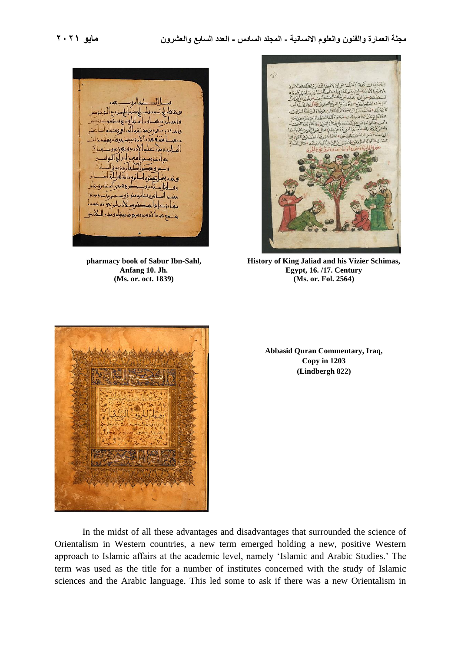$\frac{1}{2}$ يو مختلط اسوم وسيرامل ميز وي واحدملية درهب ودارمناعا وبربخ وسهفه وإبدودي دده ويؤجد متهوالدراج وفنانا ورهب بغضه هذرالأ دوية مستوفدة منه اله ابندوند عليه الأدوبووي وبروه بعوارت وسعونا فعود ادواج آلبوا وسعر ويعصوا الطعام ويزيدو بوند بغيل تعتوه اسانوو دائقا عليلة وو بامال تاربووب ما ح هنگ استان وسعام اندومنا تخمية تزويب معاء كاواحد كنزوكم ديليزي زه عدما يضع هذه الأدوية مسحوقة منتولة ومدد الملادي

**pharmacy book of Sabur Ibn-Sahl, Anfang 10. Jh. (Ms. or. oct. 1839)**



**History of King Jaliad and his Vizier Schimas, Egypt, 16. /17. Century (Ms. or. Fol. 2564)**



**Abbasid Quran Commentary, Iraq, Copy in 1203 (Lindbergh 822)**

In the midst of all these advantages and disadvantages that surrounded the science of Orientalism in Western countries, a new term emerged holding a new, positive Western approach to Islamic affairs at the academic level, namely 'Islamic and Arabic Studies.' The term was used as the title for a number of institutes concerned with the study of Islamic sciences and the Arabic language. This led some to ask if there was a new Orientalism in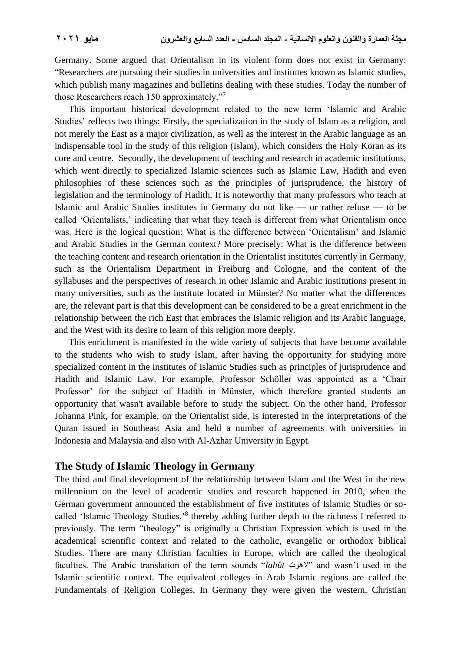Germany. Some argued that Orientalism in its violent form does not exist in Germany: "Researchers are pursuing their studies in universities and institutes known as Islamic studies, which publish many magazines and bulletins dealing with these studies. Today the number of those Researchers reach 150 approximately."<sup>7</sup>

This important historical development related to the new term 'Islamic and Arabic Studies' reflects two things: Firstly, the specialization in the study of Islam as a religion, and not merely the East as a major civilization, as well as the interest in the Arabic language as an indispensable tool in the study of this religion (Islam), which considers the Holy Koran as its core and centre. Secondly, the development of teaching and research in academic institutions, which went directly to specialized Islamic sciences such as Islamic Law, Hadith and even philosophies of these sciences such as the principles of jurisprudence, the history of legislation and the terminology of Hadith. It is noteworthy that many professors who teach at Islamic and Arabic Studies institutes in Germany do not like — or rather refuse — to be called 'Orientalists,' indicating that what they teach is different from what Orientalism once was. Here is the logical question: What is the difference between 'Orientalism' and Islamic and Arabic Studies in the German context? More precisely: What is the difference between the teaching content and research orientation in the Orientalist institutes currently in Germany, such as the Orientalism Department in Freiburg and Cologne, and the content of the syllabuses and the perspectives of research in other Islamic and Arabic institutions present in many universities, such as the institute located in Münster? No matter what the differences are, the relevant part is that this development can be considered to be a great enrichment in the relationship between the rich East that embraces the Islamic religion and its Arabic language, and the West with its desire to learn of this religion more deeply.

This enrichment is manifested in the wide variety of subjects that have become available to the students who wish to study Islam, after having the opportunity for studying more specialized content in the institutes of Islamic Studies such as principles of jurisprudence and Hadith and Islamic Law. For example, Professor Schöller was appointed as a 'Chair Professor' for the subject of Hadith in Münster, which therefore granted students an opportunity that wasn't available before to study the subject. On the other hand, Professor Johanna Pink, for example, on the Orientalist side, is interested in the interpretations of the Quran issued in Southeast Asia and held a number of agreements with universities in Indonesia and Malaysia and also with Al-Azhar University in Egypt.

### **The Study of Islamic Theology in Germany**

The third and final development of the relationship between Islam and the West in the new millennium on the level of academic studies and research happened in 2010, when the German government announced the establishment of five institutes of Islamic Studies or socalled 'Islamic Theology Studies,'<sup>8</sup> thereby adding further depth to the richness I referred to previously. The term "theology" is originally a Christian Expression which is used in the academical scientific context and related to the catholic, evangelic or orthodox biblical Studies. There are many Christian faculties in Europe, which are called the theological faculties. The Arabic translation of the term sounds "*lahût* الهوت "and wasn't used in the Islamic scientific context. The equivalent colleges in Arab Islamic regions are called the Fundamentals of Religion Colleges. In Germany they were given the western, Christian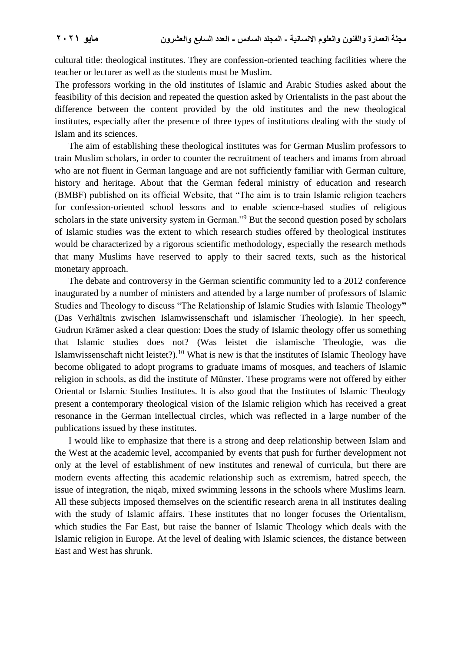cultural title: theological institutes. They are confession-oriented teaching facilities where the teacher or lecturer as well as the students must be Muslim.

The professors working in the old institutes of Islamic and Arabic Studies asked about the feasibility of this decision and repeated the question asked by Orientalists in the past about the difference between the content provided by the old institutes and the new theological institutes, especially after the presence of three types of institutions dealing with the study of Islam and its sciences.

The aim of establishing these theological institutes was for German Muslim professors to train Muslim scholars, in order to counter the recruitment of teachers and imams from abroad who are not fluent in German language and are not sufficiently familiar with German culture, history and heritage. About that the German federal ministry of education and research (BMBF) published on its official Website, that "The aim is to train Islamic religion teachers for confession-oriented school lessons and to enable science-based studies of religious scholars in the state university system in German."<sup>9</sup> But the second question posed by scholars of Islamic studies was the extent to which research studies offered by theological institutes would be characterized by a rigorous scientific methodology, especially the research methods that many Muslims have reserved to apply to their sacred texts, such as the historical monetary approach.

The debate and controversy in the German scientific community led to a 2012 conference inaugurated by a number of ministers and attended by a large number of professors of Islamic Studies and Theology to discuss "The Relationship of Islamic Studies with Islamic Theology**"**  (Das Verhältnis zwischen Islamwissenschaft und islamischer Theologie). In her speech, Gudrun Krämer asked a clear question: Does the study of Islamic theology offer us something that Islamic studies does not? (Was leistet die islamische Theologie, was die Islamwissenschaft nicht leistet?).<sup>10</sup> What is new is that the institutes of Islamic Theology have become obligated to adopt programs to graduate imams of mosques, and teachers of Islamic religion in schools, as did the institute of Münster. These programs were not offered by either Oriental or Islamic Studies Institutes. It is also good that the Institutes of Islamic Theology present a contemporary theological vision of the Islamic religion which has received a great resonance in the German intellectual circles, which was reflected in a large number of the publications issued by these institutes.

I would like to emphasize that there is a strong and deep relationship between Islam and the West at the academic level, accompanied by events that push for further development not only at the level of establishment of new institutes and renewal of curricula, but there are modern events affecting this academic relationship such as extremism, hatred speech, the issue of integration, the niqab, mixed swimming lessons in the schools where Muslims learn. All these subjects imposed themselves on the scientific research arena in all institutes dealing with the study of Islamic affairs. These institutes that no longer focuses the Orientalism, which studies the Far East, but raise the banner of Islamic Theology which deals with the Islamic religion in Europe. At the level of dealing with Islamic sciences, the distance between East and West has shrunk.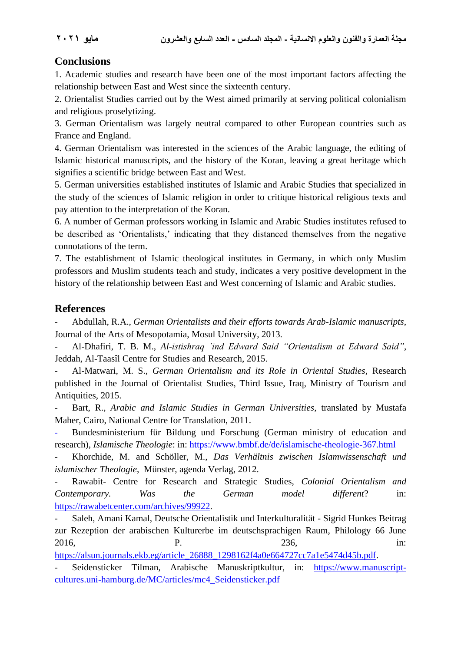## **Conclusions**

1. Academic studies and research have been one of the most important factors affecting the relationship between East and West since the sixteenth century.

2. Orientalist Studies carried out by the West aimed primarily at serving political colonialism and religious proselytizing.

3. German Orientalism was largely neutral compared to other European countries such as France and England.

4. German Orientalism was interested in the sciences of the Arabic language, the editing of Islamic historical manuscripts, and the history of the Koran, leaving a great heritage which signifies a scientific bridge between East and West.

5. German universities established institutes of Islamic and Arabic Studies that specialized in the study of the sciences of Islamic religion in order to critique historical religious texts and pay attention to the interpretation of the Koran.

6. A number of German professors working in Islamic and Arabic Studies institutes refused to be described as 'Orientalists,' indicating that they distanced themselves from the negative connotations of the term.

7. The establishment of Islamic theological institutes in Germany, in which only Muslim professors and Muslim students teach and study, indicates a very positive development in the history of the relationship between East and West concerning of Islamic and Arabic studies.

## **References**

- Abdullah, R.A., *German Orientalists and their efforts towards Arab-Islamic manuscripts*, Journal of the Arts of Mesopotamia, Mosul University, 2013.

- Al-Dhafiri, T. B. M., *Al-istishraq `ind Edward Said "Orientalism at Edward Said"*, Jeddah, Al-Taasîl Centre for Studies and Research, 2015.

- Al-Matwari, M. S., *German Orientalism and its Role in Oriental Studies*, Research published in the Journal of Orientalist Studies, Third Issue, Iraq, Ministry of Tourism and Antiquities, 2015.

- Bart, R., *Arabic and Islamic Studies in German Universities*, translated by Mustafa Maher, Cairo, National Centre for Translation, 2011.

- Bundesministerium für Bildung und Forschung (German ministry of education and research), *Islamische Theologie*: in: [https://www.bmbf.de/de/islamische-theologie-367.html](about:blank)

- Khorchide, M. and Schöller, M., *Das Verhältnis zwischen Islamwissenschaft und islamischer Theologie*, Münster, agenda Verlag, 2012.

- Rawabit- Centre for Research and Strategic Studies, *Colonial Orientalism and Contemporary. Was the German model different*? in: [https://rawabetcenter.com/archives/99922.](about:blank)

- Saleh, Amani Kamal, Deutsche Orientalistik und Interkulturalität - Sigrid Hunkes Beitrag zur Rezeption der arabischen Kulturerbe im deutschsprachigen Raum, Philology 66 June 2016, **P.** 236, in:

[https://alsun.journals.ekb.eg/article\\_26888\\_1298162f4a0e664727cc7a1e5474d45b.pdf.](about:blank)

- Seidensticker Tilman, Arabische Manuskriptkultur, in: [https://www.manuscript](about:blank)[cultures.uni-hamburg.de/MC/articles/mc4\\_Seidensticker.pdf](about:blank)